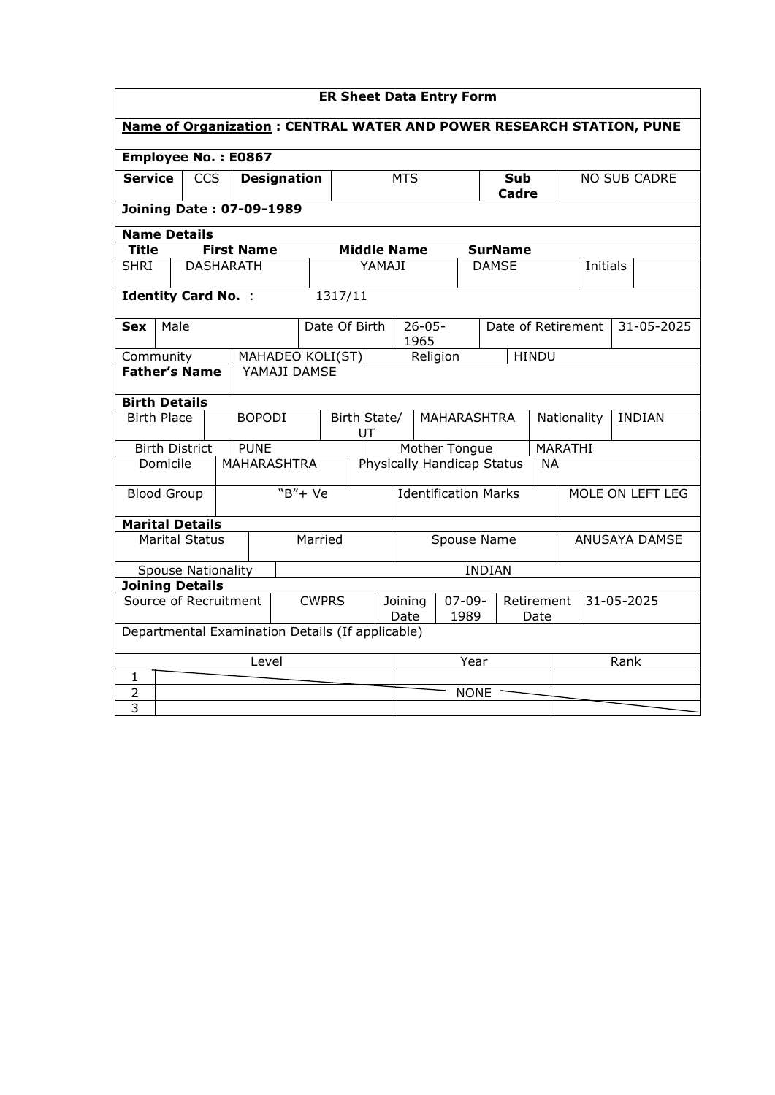| <b>ER Sheet Data Entry Form</b>                                             |                                                  |                       |                            |                    |                                                              |                    |                             |  |                     |                    |               |                    |                              |                     |  |            |
|-----------------------------------------------------------------------------|--------------------------------------------------|-----------------------|----------------------------|--------------------|--------------------------------------------------------------|--------------------|-----------------------------|--|---------------------|--------------------|---------------|--------------------|------------------------------|---------------------|--|------------|
| <b>Name of Organization: CENTRAL WATER AND POWER RESEARCH STATION, PUNE</b> |                                                  |                       |                            |                    |                                                              |                    |                             |  |                     |                    |               |                    |                              |                     |  |            |
| Employee No.: E0867                                                         |                                                  |                       |                            |                    |                                                              |                    |                             |  |                     |                    |               |                    |                              |                     |  |            |
| <b>Service</b><br><b>CCS</b><br><b>Designation</b>                          |                                                  |                       |                            |                    |                                                              | <b>MTS</b>         |                             |  |                     | Sub<br>Cadre       |               |                    |                              | <b>NO SUB CADRE</b> |  |            |
|                                                                             | <b>Joining Date: 07-09-1989</b>                  |                       |                            |                    |                                                              |                    |                             |  |                     |                    |               |                    |                              |                     |  |            |
| <b>Name Details</b>                                                         |                                                  |                       |                            |                    |                                                              |                    |                             |  |                     |                    |               |                    |                              |                     |  |            |
| <b>Title</b>                                                                |                                                  |                       | <b>First Name</b>          |                    |                                                              |                    | <b>Middle Name</b>          |  |                     |                    |               | <b>SurName</b>     |                              |                     |  |            |
| <b>SHRI</b>                                                                 |                                                  |                       | <b>DASHARATH</b>           |                    |                                                              |                    | YAMAJI                      |  |                     |                    | <b>DAMSE</b>  |                    | Initials                     |                     |  |            |
|                                                                             |                                                  |                       | <b>Identity Card No. :</b> |                    |                                                              | 1317/11            |                             |  |                     |                    |               |                    |                              |                     |  |            |
| <b>Sex</b>                                                                  | Male                                             |                       |                            |                    |                                                              | Date Of Birth      |                             |  | $26 - 05 -$<br>1965 |                    |               | Date of Retirement |                              |                     |  | 31-05-2025 |
| Community                                                                   |                                                  |                       |                            | MAHADEO KOLI(ST)   |                                                              |                    |                             |  | Religion            |                    |               |                    | <b>HINDU</b>                 |                     |  |            |
| <b>Father's Name</b>                                                        |                                                  |                       |                            | YAMAJI DAMSE       |                                                              |                    |                             |  |                     |                    |               |                    |                              |                     |  |            |
| <b>Birth Details</b>                                                        |                                                  |                       |                            |                    |                                                              |                    |                             |  |                     |                    |               |                    |                              |                     |  |            |
|                                                                             | <b>Birth Place</b>                               |                       |                            | <b>BOPODI</b>      |                                                              | Birth State/<br>UT |                             |  |                     | <b>MAHARASHTRA</b> |               |                    | <b>INDIAN</b><br>Nationality |                     |  |            |
|                                                                             |                                                  | <b>Birth District</b> |                            | <b>PUNE</b>        |                                                              |                    | Mother Tongue               |  |                     |                    | MARATHI       |                    |                              |                     |  |            |
|                                                                             | Domicile                                         |                       |                            | <b>MAHARASHTRA</b> |                                                              |                    | Physically Handicap Status  |  |                     |                    | <b>NA</b>     |                    |                              |                     |  |            |
|                                                                             | <b>Blood Group</b>                               |                       |                            |                    | $W + Ve$                                                     |                    | <b>Identification Marks</b> |  |                     |                    |               | MOLE ON LEFT LEG   |                              |                     |  |            |
| <b>Marital Details</b>                                                      |                                                  |                       |                            |                    |                                                              |                    |                             |  |                     |                    |               |                    |                              |                     |  |            |
|                                                                             |                                                  | <b>Marital Status</b> |                            |                    | Married                                                      |                    |                             |  | Spouse Name         |                    |               |                    |                              | ANUSAYA DAMSE       |  |            |
|                                                                             |                                                  |                       | <b>Spouse Nationality</b>  |                    |                                                              |                    |                             |  |                     |                    | <b>INDIAN</b> |                    |                              |                     |  |            |
| <b>Joining Details</b>                                                      |                                                  |                       |                            |                    |                                                              |                    |                             |  |                     |                    |               |                    |                              |                     |  |            |
| Source of Recruitment                                                       |                                                  |                       | <b>CWPRS</b>               |                    | $07 - 09 -$<br>Joining<br>Retirement<br>1989<br>Date<br>Date |                    |                             |  | 31-05-2025          |                    |               |                    |                              |                     |  |            |
|                                                                             | Departmental Examination Details (If applicable) |                       |                            |                    |                                                              |                    |                             |  |                     |                    |               |                    |                              |                     |  |            |
|                                                                             |                                                  |                       |                            | Level              |                                                              |                    |                             |  | Year                |                    |               |                    |                              | Rank                |  |            |
| 1                                                                           |                                                  |                       |                            |                    |                                                              |                    |                             |  |                     |                    |               |                    |                              |                     |  |            |
| 2                                                                           |                                                  |                       |                            |                    |                                                              |                    |                             |  |                     |                    | <b>NONE</b>   |                    |                              |                     |  |            |
| 3                                                                           |                                                  |                       |                            |                    |                                                              |                    |                             |  |                     |                    |               |                    |                              |                     |  |            |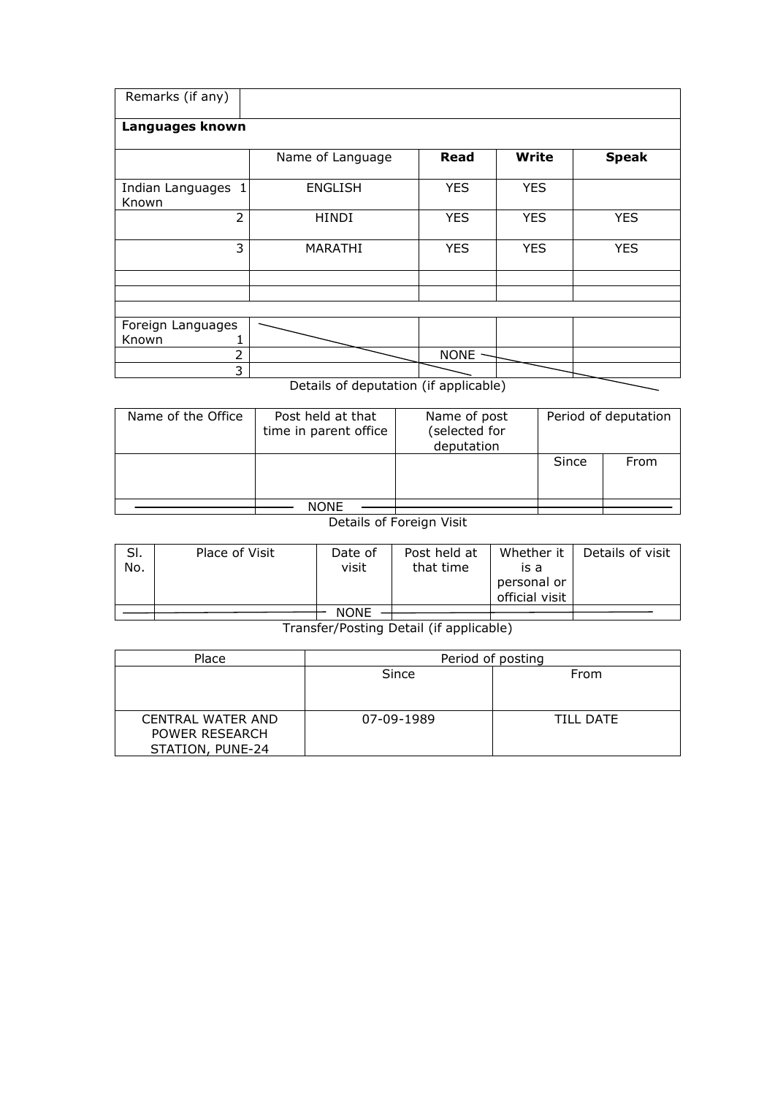| Remarks (if any)            |                  |                    |              |              |
|-----------------------------|------------------|--------------------|--------------|--------------|
| Languages known             |                  |                    |              |              |
|                             | Name of Language | Read               | <b>Write</b> | <b>Speak</b> |
| Indian Languages 1<br>Known | <b>ENGLISH</b>   | <b>YES</b>         | <b>YES</b>   |              |
| $\overline{2}$              | <b>HINDI</b>     | <b>YES</b>         | <b>YES</b>   | <b>YES</b>   |
| 3                           | MARATHI          | <b>YES</b>         | <b>YES</b>   | <b>YES</b>   |
|                             |                  |                    |              |              |
|                             |                  |                    |              |              |
|                             |                  |                    |              |              |
| Foreign Languages           |                  |                    |              |              |
| Known                       |                  |                    |              |              |
| 2                           |                  | NONE ·             |              |              |
| 3                           |                  | $\sim$ $\sim$<br>. |              |              |

Details of deputation (if applicable)

| Name of the Office | Post held at that<br>time in parent office | Name of post<br>(selected for<br>deputation | Period of deputation |      |  |  |
|--------------------|--------------------------------------------|---------------------------------------------|----------------------|------|--|--|
|                    |                                            |                                             | Since                | From |  |  |
|                    | NONE                                       |                                             |                      |      |  |  |

Details of Foreign Visit

| SI.<br>No. | Place of Visit | Date of<br>visit | Post held at<br>that time | Whether it<br>is a<br>personal or<br>official visit | Details of visit |
|------------|----------------|------------------|---------------------------|-----------------------------------------------------|------------------|
|            |                | <b>NONE</b>      |                           |                                                     |                  |
|            |                |                  |                           |                                                     |                  |

Transfer/Posting Detail (if applicable)

| Place                                                          | Period of posting |                  |  |  |  |  |
|----------------------------------------------------------------|-------------------|------------------|--|--|--|--|
|                                                                | Since             | From             |  |  |  |  |
|                                                                |                   |                  |  |  |  |  |
| <b>CENTRAL WATER AND</b><br>POWER RESEARCH<br>STATION, PUNE-24 | 07-09-1989        | <b>TILL DATE</b> |  |  |  |  |